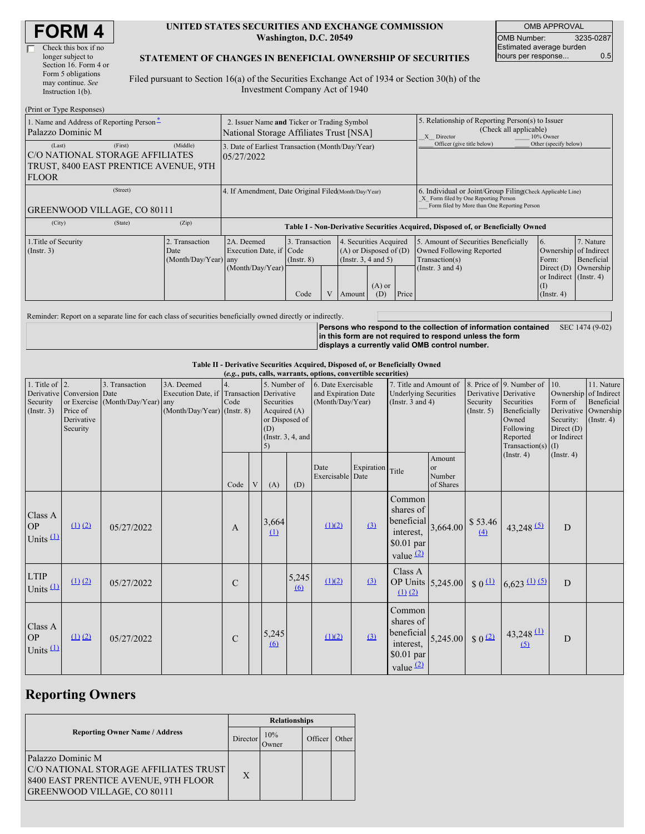| <b>FORM4</b> |
|--------------|
|--------------|

#### **UNITED STATES SECURITIES AND EXCHANGE COMMISSION Washington, D.C. 20549**

OMB APPROVAL OMB Number: 3235-0287 Estimated average burden hours per response... 0.5

#### **STATEMENT OF CHANGES IN BENEFICIAL OWNERSHIP OF SECURITIES**

Filed pursuant to Section 16(a) of the Securities Exchange Act of 1934 or Section 30(h) of the Investment Company Act of 1940

| (Print or Type Responses)                                                                           |                                                                                        |                                                                |                                                                                  |                                   |  |                                                                              |                                                                                                       |                            |                                                                                                                                                    |                                                                   |                                        |  |
|-----------------------------------------------------------------------------------------------------|----------------------------------------------------------------------------------------|----------------------------------------------------------------|----------------------------------------------------------------------------------|-----------------------------------|--|------------------------------------------------------------------------------|-------------------------------------------------------------------------------------------------------|----------------------------|----------------------------------------------------------------------------------------------------------------------------------------------------|-------------------------------------------------------------------|----------------------------------------|--|
| 1. Name and Address of Reporting Person-<br>Palazzo Dominic M                                       | 2. Issuer Name and Ticker or Trading Symbol<br>National Storage Affiliates Trust [NSA] |                                                                |                                                                                  |                                   |  |                                                                              | 5. Relationship of Reporting Person(s) to Issuer<br>(Check all applicable)<br>10% Owner<br>X Director |                            |                                                                                                                                                    |                                                                   |                                        |  |
| (Last)<br>IC/O NATIONAL STORAGE AFFILIATES<br>TRUST, 8400 EAST PRENTICE AVENUE, 9TH<br><b>FLOOR</b> | (Middle)                                                                               | 3. Date of Earliest Transaction (Month/Day/Year)<br>05/27/2022 |                                                                                  |                                   |  |                                                                              |                                                                                                       | Officer (give title below) | Other (specify below)                                                                                                                              |                                                                   |                                        |  |
| (Street)<br><b>GREENWOOD VILLAGE, CO 80111</b>                                                      |                                                                                        |                                                                | 4. If Amendment, Date Original Filed Month/Day/Year)                             |                                   |  |                                                                              |                                                                                                       |                            | 6. Individual or Joint/Group Filing(Check Applicable Line)<br>X Form filed by One Reporting Person<br>Form filed by More than One Reporting Person |                                                                   |                                        |  |
| (City)                                                                                              | (State)                                                                                | (Zip)                                                          | Table I - Non-Derivative Securities Acquired, Disposed of, or Beneficially Owned |                                   |  |                                                                              |                                                                                                       |                            |                                                                                                                                                    |                                                                   |                                        |  |
| 1. Title of Security<br>$($ Instr. 3 $)$<br>Date                                                    |                                                                                        | 2. Transaction<br>(Month/Day/Year) any                         | 2A. Deemed<br>Execution Date, if Code                                            | 3. Transaction<br>$($ Instr. $8)$ |  | 4. Securities Acquired<br>$(A)$ or Disposed of $(D)$<br>(Insert. 3, 4 and 5) |                                                                                                       |                            | 5. Amount of Securities Beneficially<br>Owned Following Reported<br>Transaction(s)                                                                 | <sup>6.</sup><br>Ownership<br>Form:                               | 7. Nature<br>of Indirect<br>Beneficial |  |
|                                                                                                     |                                                                                        |                                                                | (Month/Day/Year)                                                                 | Code                              |  | Amount                                                                       | $(A)$ or<br>(D)                                                                                       | Price                      | (Instr. $3$ and $4$ )                                                                                                                              | Direct $(D)$<br>or Indirect (Instr. 4)<br>(I)<br>$($ Instr. 4 $)$ | Ownership                              |  |

Reminder: Report on a separate line for each class of securities beneficially owned directly or indirectly.

**Persons who respond to the collection of information contained** SEC 1474 (9-02) **in this form are not required to respond unless the form displays a currently valid OMB control number.**

**Table II - Derivative Securities Acquired, Disposed of, or Beneficially Owned**

| (e.g., puts, calls, warrants, options, convertible securities) |                                                                  |                                                    |                                                                                          |               |   |                                                           |                                                                                                          |                          |                                                                                 |                                                                              |                                                  |                                                                                                                  |                                                                                     |                                                                      |  |
|----------------------------------------------------------------|------------------------------------------------------------------|----------------------------------------------------|------------------------------------------------------------------------------------------|---------------|---|-----------------------------------------------------------|----------------------------------------------------------------------------------------------------------|--------------------------|---------------------------------------------------------------------------------|------------------------------------------------------------------------------|--------------------------------------------------|------------------------------------------------------------------------------------------------------------------|-------------------------------------------------------------------------------------|----------------------------------------------------------------------|--|
| 1. Title of $\vert$ 2.<br>Security<br>(Insert. 3)              | Derivative Conversion Date<br>Price of<br>Derivative<br>Security | 3. Transaction<br>or Exercise (Month/Day/Year) any | 3A. Deemed<br>Execution Date, if Transaction Derivative<br>$(Month/Day/Year)$ (Instr. 8) | Code          |   | 5. Number of<br>Securities<br>Acquired $(A)$<br>(D)<br>5) | 6. Date Exercisable<br>and Expiration Date<br>(Month/Day/Year)<br>or Disposed of<br>(Instr. $3, 4$ , and |                          | 7. Title and Amount of<br><b>Underlying Securities</b><br>(Instr. $3$ and $4$ ) |                                                                              | Derivative Derivative<br>Security<br>(Insert. 5) | 8. Price of 9. Number of<br>Securities<br>Beneficially<br>Owned<br>Following<br>Reported<br>Transaction(s) $(I)$ | 10.<br>Ownership of Indirect<br>Form of<br>Security:<br>Direct $(D)$<br>or Indirect | 11. Nature<br>Beneficial<br>Derivative Ownership<br>$($ Instr. 4 $)$ |  |
|                                                                |                                                                  |                                                    |                                                                                          | Code          | V | (A)                                                       | (D)                                                                                                      | Date<br>Exercisable Date | Expiration                                                                      | Title                                                                        | Amount<br>or<br>Number<br>of Shares              |                                                                                                                  | $($ Instr. 4 $)$                                                                    | (Insert. 4)                                                          |  |
| Class A<br><b>OP</b><br>Units $(1)$                            | $(1)$ $(2)$                                                      | 05/27/2022                                         |                                                                                          | $\mathbf{A}$  |   | 3,664<br>(1)                                              |                                                                                                          | (1)(2)                   | (3)                                                                             | Common<br>shares of<br>beneficial<br>interest,<br>\$0.01 par<br>value $(2)$  | 3,664.00                                         | \$53.46<br>(4)                                                                                                   | $43,248$ <sup>(5)</sup>                                                             | D                                                                    |  |
| <b>LTIP</b><br>Units $(1)$                                     | $(1)$ $(2)$                                                      | 05/27/2022                                         |                                                                                          | $\mathcal{C}$ |   |                                                           | 5,245<br>$\omega$                                                                                        | (1)(2)                   | (3)                                                                             | Class A<br>$(1)$ $(2)$                                                       | OP Units 5,245.00                                | $\frac{1}{2}0$                                                                                                   | $6,623 \underline{ (1) (5)}$                                                        | $\overline{D}$                                                       |  |
| Class A<br><b>OP</b><br>Units $(1)$                            | (1) (2)                                                          | 05/27/2022                                         |                                                                                          | $\mathcal{C}$ |   | 5,245<br>(6)                                              |                                                                                                          | (1)(2)                   | (3)                                                                             | Common<br>shares of<br>beneficial<br>interest,<br>$$0.01$ par<br>value $(2)$ | 5,245.00                                         | $\sqrt{2}$                                                                                                       | $43,248$ $(1)$<br>(5)                                                               | D                                                                    |  |

# **Reporting Owners**

|                                                                                                                                          | <b>Relationships</b> |                     |         |       |  |  |  |
|------------------------------------------------------------------------------------------------------------------------------------------|----------------------|---------------------|---------|-------|--|--|--|
| <b>Reporting Owner Name / Address</b>                                                                                                    | Director             | 10%<br><b>Jwner</b> | Officer | Other |  |  |  |
| Palazzo Dominic M<br>C/O NATIONAL STORAGE AFFILIATES TRUST<br>8400 EAST PRENTICE AVENUE, 9TH FLOOR<br><b>GREENWOOD VILLAGE, CO 80111</b> | X                    |                     |         |       |  |  |  |